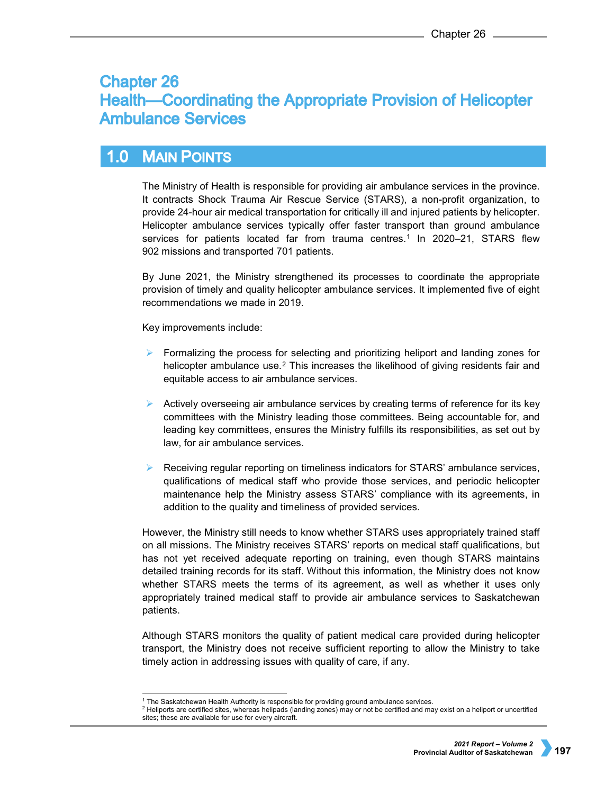# **Chapter 26 Health—Coordinating the Appropriate Provision of Helicopter Ambulance Services**

#### $1.0$ **MAIN POINTS**

The Ministry of Health is responsible for providing air ambulance services in the province. It contracts Shock Trauma Air Rescue Service (STARS), a non-profit organization, to provide 24-hour air medical transportation for critically ill and injured patients by helicopter. Helicopter ambulance services typically offer faster transport than ground ambulance services for patients located far from trauma centres.<sup>[1](#page-0-0)</sup> In 2020–21, STARS flew 902 missions and transported 701 patients.

By June 2021, the Ministry strengthened its processes to coordinate the appropriate provision of timely and quality helicopter ambulance services. It implemented five of eight recommendations we made in 2019.

Key improvements include:

- $\triangleright$  Formalizing the process for selecting and prioritizing heliport and landing zones for helicopter ambulance use.<sup>[2](#page-0-1)</sup> This increases the likelihood of giving residents fair and equitable access to air ambulance services.
- Actively overseeing air ambulance services by creating terms of reference for its key committees with the Ministry leading those committees. Being accountable for, and leading key committees, ensures the Ministry fulfills its responsibilities, as set out by law, for air ambulance services.
- Receiving regular reporting on timeliness indicators for STARS' ambulance services, qualifications of medical staff who provide those services, and periodic helicopter maintenance help the Ministry assess STARS' compliance with its agreements, in addition to the quality and timeliness of provided services.

However, the Ministry still needs to know whether STARS uses appropriately trained staff on all missions. The Ministry receives STARS' reports on medical staff qualifications, but has not yet received adequate reporting on training, even though STARS maintains detailed training records for its staff. Without this information, the Ministry does not know whether STARS meets the terms of its agreement, as well as whether it uses only appropriately trained medical staff to provide air ambulance services to Saskatchewan patients.

Although STARS monitors the quality of patient medical care provided during helicopter transport, the Ministry does not receive sufficient reporting to allow the Ministry to take timely action in addressing issues with quality of care, if any.

<sup>&</sup>lt;sup>1</sup> The Saskatchewan Health Authority is responsible for providing ground ambulance services.

<span id="page-0-1"></span><span id="page-0-0"></span><sup>&</sup>lt;sup>2</sup> Heliports are certified sites, whereas helipads (landing zones) may or not be certified and may exist on a heliport or uncertified sites; these are available for use for every aircraft.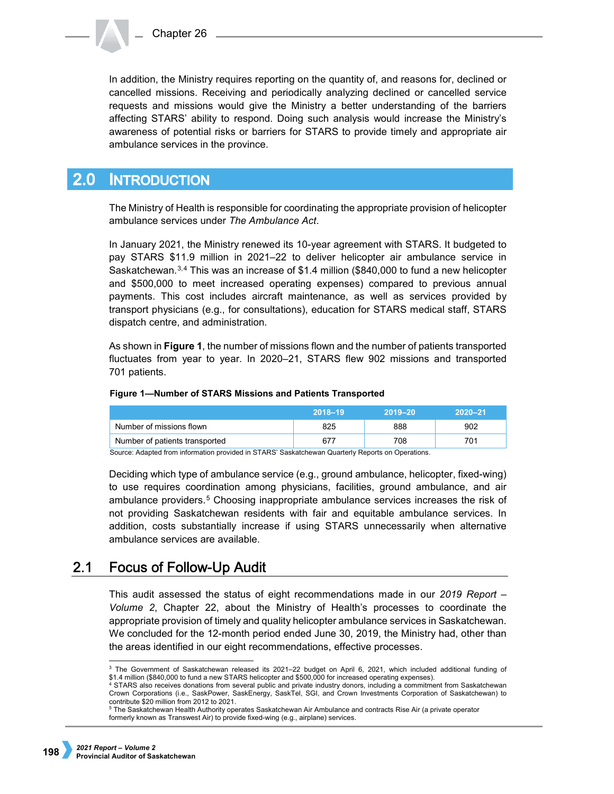

In addition, the Ministry requires reporting on the quantity of, and reasons for, declined or cancelled missions. Receiving and periodically analyzing declined or cancelled service requests and missions would give the Ministry a better understanding of the barriers affecting STARS' ability to respond. Doing such analysis would increase the Ministry's awareness of potential risks or barriers for STARS to provide timely and appropriate air ambulance services in the province.

#### $2.0<sub>1</sub>$ **INTRODUCTION**

The Ministry of Health is responsible for coordinating the appropriate provision of helicopter ambulance services under *The Ambulance Act*.

In January 2021, the Ministry renewed its 10-year agreement with STARS. It budgeted to pay STARS \$11.9 million in 2021–22 to deliver helicopter air ambulance service in Saskatchewan.[3,](#page-1-0)[4](#page-1-1) This was an increase of \$1.4 million (\$840,000 to fund a new helicopter and \$500,000 to meet increased operating expenses) compared to previous annual payments. This cost includes aircraft maintenance, as well as services provided by transport physicians (e.g., for consultations), education for STARS medical staff, STARS dispatch centre, and administration.

As shown in **Figure 1**, the number of missions flown and the number of patients transported fluctuates from year to year. In 2020–21, STARS flew 902 missions and transported 701 patients.

## **Figure 1—Number of STARS Missions and Patients Transported**

|                                | 2018-19 | $2019 - 20$ | $2020 - 21$ |
|--------------------------------|---------|-------------|-------------|
| Number of missions flown       | 325     | 888         | 902         |
| Number of patients transported |         | 708         | 701         |

Source: Adapted from information provided in STARS' Saskatchewan Quarterly Reports on Operations.

Deciding which type of ambulance service (e.g., ground ambulance, helicopter, fixed-wing) to use requires coordination among physicians, facilities, ground ambulance, and air ambulance providers.[5](#page-1-2) Choosing inappropriate ambulance services increases the risk of not providing Saskatchewan residents with fair and equitable ambulance services. In addition, costs substantially increase if using STARS unnecessarily when alternative ambulance services are available.

#### $2.1$ **Focus of Follow-Up Audit**

This audit assessed the status of eight recommendations made in our *2019 Report – Volume 2*, Chapter 22, about the Ministry of Health's processes to coordinate the appropriate provision of timely and quality helicopter ambulance services in Saskatchewan. We concluded for the 12-month period ended June 30, 2019, the Ministry had, other than the areas identified in our eight recommendations, effective processes.

<span id="page-1-0"></span> <sup>3</sup> The Government of Saskatchewan released its 2021–22 budget on April 6, 2021, which included additional funding of \$1.4 million (\$840,000 to fund a new STARS helicopter and \$500,000 for increased operating expenses).

<span id="page-1-1"></span><sup>4</sup> STARS also receives donations from several public and private industry donors, including a commitment from Saskatchewan Crown Corporations (i.e., SaskPower, SaskEnergy, SaskTel, SGI, and Crown Investments Corporation of Saskatchewan) to contribute \$20 million from 2012 to 2021.

<span id="page-1-2"></span><sup>&</sup>lt;sup>5</sup> The Saskatchewan Health Authority operates Saskatchewan Air Ambulance and contracts Rise Air (a private operator formerly known as Transwest Air) to provide fixed-wing (e.g., airplane) services.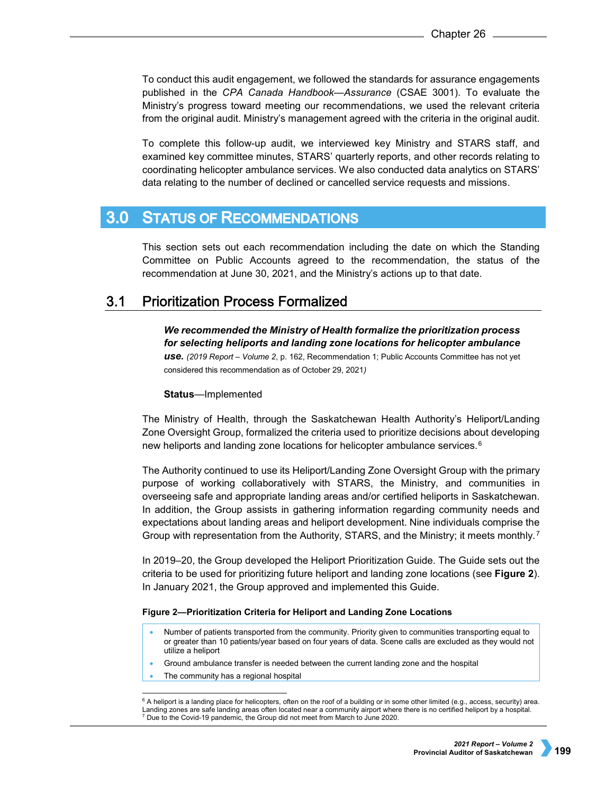To conduct this audit engagement, we followed the standards for assurance engagements published in the *CPA Canada Handbook—Assurance* (CSAE 3001). To evaluate the Ministry's progress toward meeting our recommendations, we used the relevant criteria from the original audit. Ministry's management agreed with the criteria in the original audit.

To complete this follow-up audit, we interviewed key Ministry and STARS staff, and examined key committee minutes, STARS' quarterly reports, and other records relating to coordinating helicopter ambulance services. We also conducted data analytics on STARS' data relating to the number of declined or cancelled service requests and missions.

#### **STATUS OF RECOMMENDATIONS**  $3.0<sub>2</sub>$

This section sets out each recommendation including the date on which the Standing Committee on Public Accounts agreed to the recommendation, the status of the recommendation at June 30, 2021, and the Ministry's actions up to that date.

#### $3.1$ **Prioritization Process Formalized**

*We recommended the Ministry of Health formalize the prioritization process for selecting heliports and landing zone locations for helicopter ambulance use. (2019 Report – Volume 2*, p. 162, Recommendation 1; Public Accounts Committee has not yet considered this recommendation as of October 29, 2021*)*

## **Status**—Implemented

The Ministry of Health, through the Saskatchewan Health Authority's Heliport/Landing Zone Oversight Group, formalized the criteria used to prioritize decisions about developing new heliports and landing zone locations for helicopter ambulance services.[6](#page-2-0)

The Authority continued to use its Heliport/Landing Zone Oversight Group with the primary purpose of working collaboratively with STARS, the Ministry, and communities in overseeing safe and appropriate landing areas and/or certified heliports in Saskatchewan. In addition, the Group assists in gathering information regarding community needs and expectations about landing areas and heliport development. Nine individuals comprise the Group with representation from the Authority, STARS, and the Ministry; it meets monthly.[7](#page-2-1)

In 2019–20, the Group developed the Heliport Prioritization Guide. The Guide sets out the criteria to be used for prioritizing future heliport and landing zone locations (see **Figure 2**). In January 2021, the Group approved and implemented this Guide.

## **Figure 2—Prioritization Criteria for Heliport and Landing Zone Locations**

- Number of patients transported from the community. Priority given to communities transporting equal to or greater than 10 patients/year based on four years of data. Scene calls are excluded as they would not utilize a heliport
- Ground ambulance transfer is needed between the current landing zone and the hospital
- The community has a regional hospital

<span id="page-2-1"></span><span id="page-2-0"></span><sup>&</sup>lt;sup>6</sup> A heliport is a landing place for helicopters, often on the roof of a building or in some other limited (e.g., access, security) area. Landing zones are safe landing areas often located near a community airport where there is no certified heliport by a hospital. <sup>7</sup> Due to the Covid-19 pandemic, the Group did not meet from March to June 2020.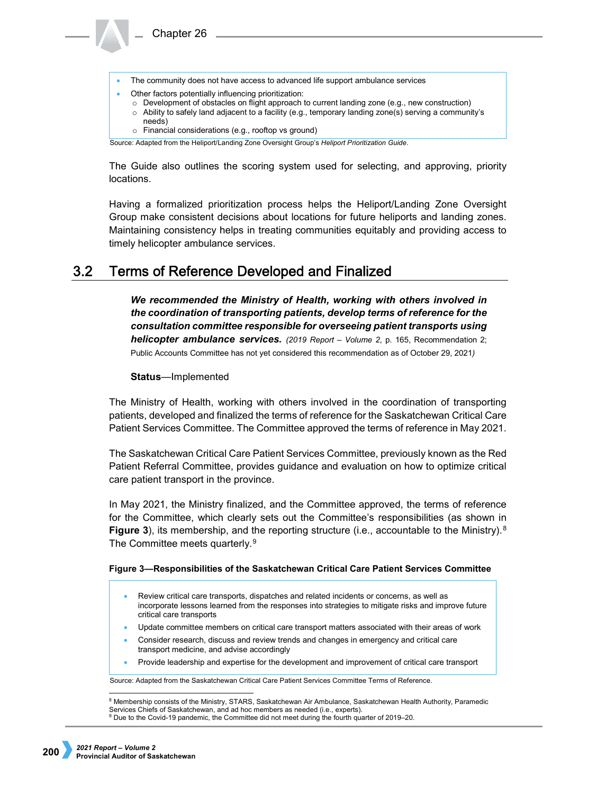

The Guide also outlines the scoring system used for selecting, and approving, priority locations.

Having a formalized prioritization process helps the Heliport/Landing Zone Oversight Group make consistent decisions about locations for future heliports and landing zones. Maintaining consistency helps in treating communities equitably and providing access to timely helicopter ambulance services.

#### $3.2<sub>2</sub>$ **Terms of Reference Developed and Finalized**

*We recommended the Ministry of Health, working with others involved in the coordination of transporting patients, develop terms of reference for the consultation committee responsible for overseeing patient transports using helicopter ambulance services. (2019 Report – Volume 2*, p. 165, Recommendation 2; Public Accounts Committee has not yet considered this recommendation as of October 29, 2021*)*

## **Status**—Implemented

Chapter 26

The Ministry of Health, working with others involved in the coordination of transporting patients, developed and finalized the terms of reference for the Saskatchewan Critical Care Patient Services Committee. The Committee approved the terms of reference in May 2021.

The Saskatchewan Critical Care Patient Services Committee, previously known as the Red Patient Referral Committee, provides guidance and evaluation on how to optimize critical care patient transport in the province.

In May 2021, the Ministry finalized, and the Committee approved, the terms of reference for the Committee, which clearly sets out the Committee's responsibilities (as shown in **Figure 3**), its membership, and the reporting structure (i.e., accountable to the Ministry).<sup>[8](#page-3-0)</sup> The Committee meets quarterly.<sup>[9](#page-3-1)</sup>

## **Figure 3—Responsibilities of the Saskatchewan Critical Care Patient Services Committee**

- Review critical care transports, dispatches and related incidents or concerns, as well as incorporate lessons learned from the responses into strategies to mitigate risks and improve future critical care transports
- Update committee members on critical care transport matters associated with their areas of work
- Consider research, discuss and review trends and changes in emergency and critical care transport medicine, and advise accordingly
- Provide leadership and expertise for the development and improvement of critical care transport

Source: Adapted from the Saskatchewan Critical Care Patient Services Committee Terms of Reference.

<span id="page-3-1"></span><span id="page-3-0"></span>8 Membership consists of the Ministry, STARS, Saskatchewan Air Ambulance, Saskatchewan Health Authority, Paramedic Services Chiefs of Saskatchewan, and ad hoc members as needed (i.e., experts). <sup>9</sup> Due to the Covid-19 pandemic, the Committee did not meet during the fourth quarter of 2019–20.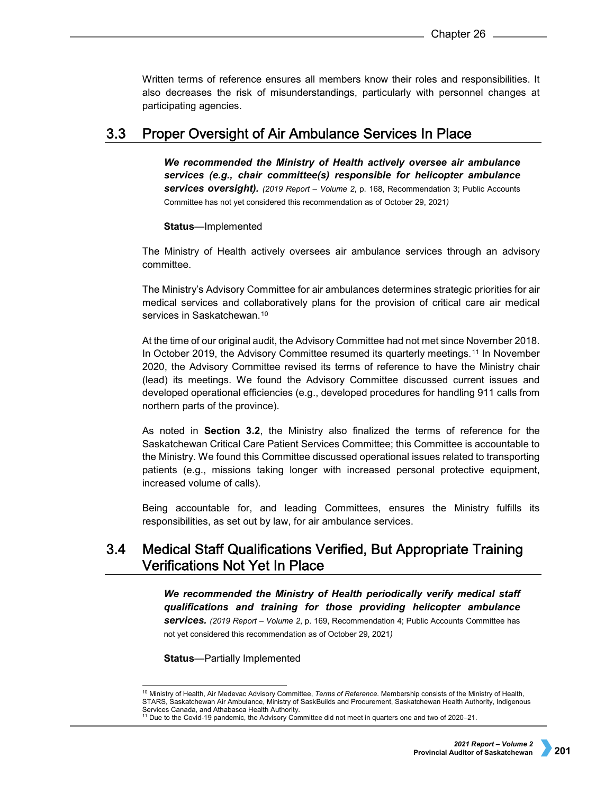Written terms of reference ensures all members know their roles and responsibilities. It also decreases the risk of misunderstandings, particularly with personnel changes at participating agencies.

#### $3.3$ Proper Oversight of Air Ambulance Services In Place

*We recommended the Ministry of Health actively oversee air ambulance services (e.g., chair committee(s) responsible for helicopter ambulance services oversight). (2019 Report – Volume 2*, p. 168, Recommendation 3; Public Accounts Committee has not yet considered this recommendation as of October 29, 2021*)*

**Status**—Implemented

The Ministry of Health actively oversees air ambulance services through an advisory committee.

The Ministry's Advisory Committee for air ambulances determines strategic priorities for air medical services and collaboratively plans for the provision of critical care air medical services in Saskatchewan.<sup>[10](#page-4-0)</sup>

At the time of our original audit, the Advisory Committee had not met since November 2018. In October 2019, the Advisory Committee resumed its quarterly meetings.[11](#page-4-1) In November 2020, the Advisory Committee revised its terms of reference to have the Ministry chair (lead) its meetings. We found the Advisory Committee discussed current issues and developed operational efficiencies (e.g., developed procedures for handling 911 calls from northern parts of the province).

As noted in **Section 3.2**, the Ministry also finalized the terms of reference for the Saskatchewan Critical Care Patient Services Committee; this Committee is accountable to the Ministry. We found this Committee discussed operational issues related to transporting patients (e.g., missions taking longer with increased personal protective equipment, increased volume of calls).

Being accountable for, and leading Committees, ensures the Ministry fulfills its responsibilities, as set out by law, for air ambulance services.

### **Medical Staff Qualifications Verified, But Appropriate Training**  $3.4$ **Verifications Not Yet In Place**

*We recommended the Ministry of Health periodically verify medical staff qualifications and training for those providing helicopter ambulance services. (2019 Report – Volume 2*, p. 169, Recommendation 4; Public Accounts Committee has not yet considered this recommendation as of October 29, 2021*)*

**Status**—Partially Implemented

<span id="page-4-0"></span> <sup>10</sup> Ministry of Health, Air Medevac Advisory Committee, *Terms of Reference*. Membership consists of the Ministry of Health, STARS, Saskatchewan Air Ambulance, Ministry of SaskBuilds and Procurement, Saskatchewan Health Authority, Indigenous Services Canada, and Athabasca Health Authority.

<span id="page-4-1"></span><sup>11</sup> Due to the Covid-19 pandemic, the Advisory Committee did not meet in quarters one and two of 2020–21.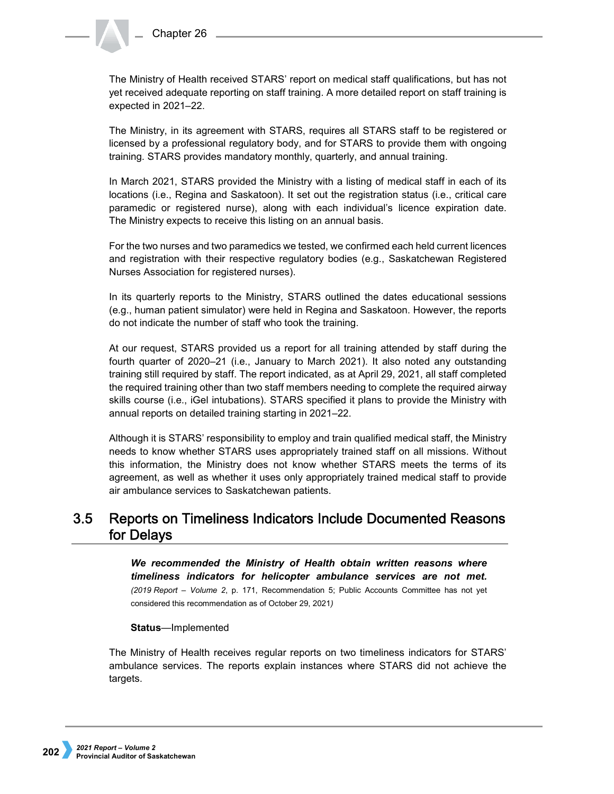The Ministry of Health received STARS' report on medical staff qualifications, but has not yet received adequate reporting on staff training. A more detailed report on staff training is expected in 2021–22.

The Ministry, in its agreement with STARS, requires all STARS staff to be registered or licensed by a professional regulatory body, and for STARS to provide them with ongoing training. STARS provides mandatory monthly, quarterly, and annual training.

In March 2021, STARS provided the Ministry with a listing of medical staff in each of its locations (i.e., Regina and Saskatoon). It set out the registration status (i.e., critical care paramedic or registered nurse), along with each individual's licence expiration date. The Ministry expects to receive this listing on an annual basis.

For the two nurses and two paramedics we tested, we confirmed each held current licences and registration with their respective regulatory bodies (e.g., Saskatchewan Registered Nurses Association for registered nurses).

In its quarterly reports to the Ministry, STARS outlined the dates educational sessions (e.g., human patient simulator) were held in Regina and Saskatoon. However, the reports do not indicate the number of staff who took the training.

At our request, STARS provided us a report for all training attended by staff during the fourth quarter of 2020–21 (i.e., January to March 2021). It also noted any outstanding training still required by staff. The report indicated, as at April 29, 2021, all staff completed the required training other than two staff members needing to complete the required airway skills course (i.e., iGel intubations). STARS specified it plans to provide the Ministry with annual reports on detailed training starting in 2021–22.

Although it is STARS' responsibility to employ and train qualified medical staff, the Ministry needs to know whether STARS uses appropriately trained staff on all missions. Without this information, the Ministry does not know whether STARS meets the terms of its agreement, as well as whether it uses only appropriately trained medical staff to provide air ambulance services to Saskatchewan patients.

#### $3.5$ **Reports on Timeliness Indicators Include Documented Reasons** for Delays

*We recommended the Ministry of Health obtain written reasons where timeliness indicators for helicopter ambulance services are not met. (2019 Report – Volume 2*, p. 171, Recommendation 5; Public Accounts Committee has not yet considered this recommendation as of October 29, 2021*)*

## **Status**—Implemented

The Ministry of Health receives regular reports on two timeliness indicators for STARS' ambulance services. The reports explain instances where STARS did not achieve the targets.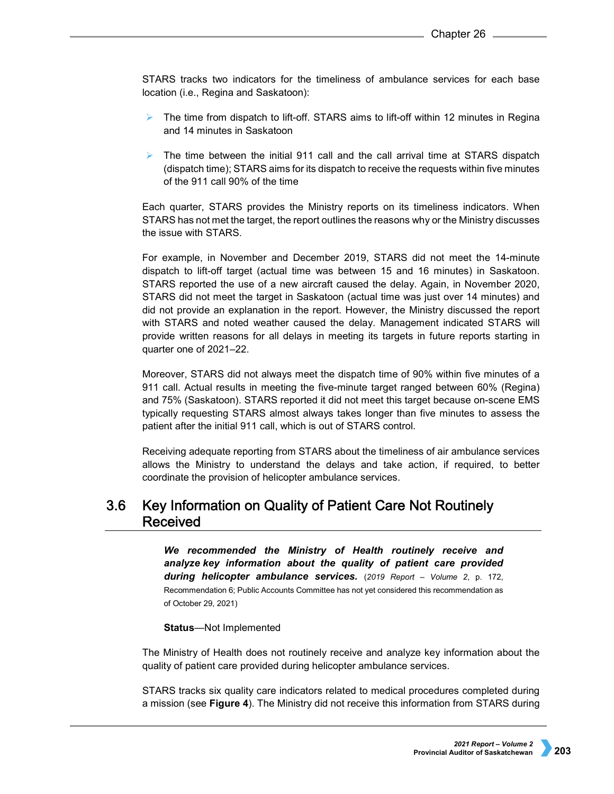STARS tracks two indicators for the timeliness of ambulance services for each base location (i.e., Regina and Saskatoon):

- $\triangleright$  The time from dispatch to lift-off. STARS aims to lift-off within 12 minutes in Regina and 14 minutes in Saskatoon
- The time between the initial 911 call and the call arrival time at STARS dispatch (dispatch time); STARS aims for its dispatch to receive the requests within five minutes of the 911 call 90% of the time

Each quarter, STARS provides the Ministry reports on its timeliness indicators. When STARS has not met the target, the report outlines the reasons why or the Ministry discusses the issue with STARS.

For example, in November and December 2019, STARS did not meet the 14-minute dispatch to lift-off target (actual time was between 15 and 16 minutes) in Saskatoon. STARS reported the use of a new aircraft caused the delay. Again, in November 2020, STARS did not meet the target in Saskatoon (actual time was just over 14 minutes) and did not provide an explanation in the report. However, the Ministry discussed the report with STARS and noted weather caused the delay. Management indicated STARS will provide written reasons for all delays in meeting its targets in future reports starting in quarter one of 2021–22.

Moreover, STARS did not always meet the dispatch time of 90% within five minutes of a 911 call. Actual results in meeting the five-minute target ranged between 60% (Regina) and 75% (Saskatoon). STARS reported it did not meet this target because on-scene EMS typically requesting STARS almost always takes longer than five minutes to assess the patient after the initial 911 call, which is out of STARS control.

Receiving adequate reporting from STARS about the timeliness of air ambulance services allows the Ministry to understand the delays and take action, if required, to better coordinate the provision of helicopter ambulance services.

### Key Information on Quality of Patient Care Not Routinely  $3.6$ Received

*We recommended the Ministry of Health routinely receive and analyze key information about the quality of patient care provided during helicopter ambulance services.* (*2019 Report – Volume 2*, p. 172, Recommendation 6; Public Accounts Committee has not yet considered this recommendation as of October 29, 2021)

## **Status**—Not Implemented

The Ministry of Health does not routinely receive and analyze key information about the quality of patient care provided during helicopter ambulance services.

STARS tracks six quality care indicators related to medical procedures completed during a mission (see **Figure 4**). The Ministry did not receive this information from STARS during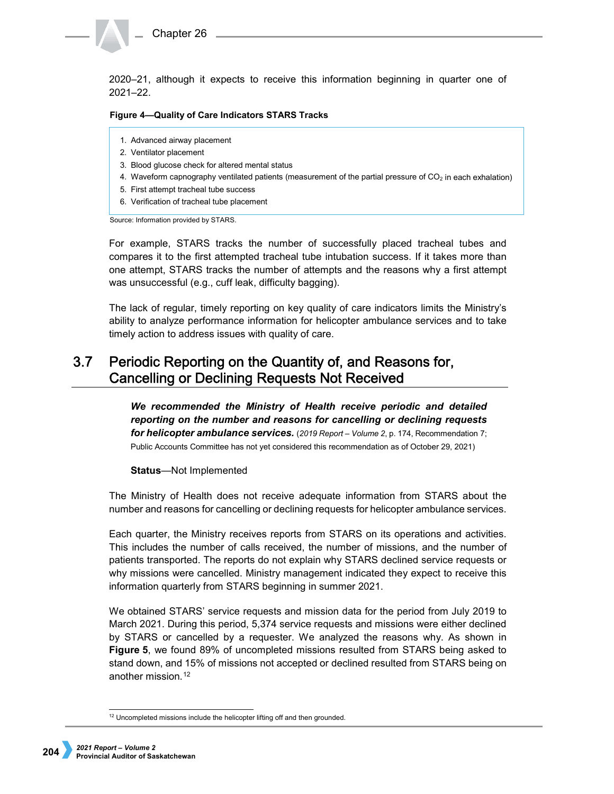

2020–21, although it expects to receive this information beginning in quarter one of 2021–22.

### **Figure 4—Quality of Care Indicators STARS Tracks**

- 1. Advanced airway placement
- 2. Ventilator placement
- 3. Blood glucose check for altered mental status
- 4. Waveform capnography ventilated patients (measurement of the partial pressure of  $CO<sub>2</sub>$  in each exhalation)
- 5. First attempt tracheal tube success
- 6. Verification of tracheal tube placement

Source: Information provided by STARS.

For example, STARS tracks the number of successfully placed tracheal tubes and compares it to the first attempted tracheal tube intubation success. If it takes more than one attempt, STARS tracks the number of attempts and the reasons why a first attempt was unsuccessful (e.g., cuff leak, difficulty bagging).

The lack of regular, timely reporting on key quality of care indicators limits the Ministry's ability to analyze performance information for helicopter ambulance services and to take timely action to address issues with quality of care.

### $3.7$ Periodic Reporting on the Quantity of, and Reasons for, **Cancelling or Declining Requests Not Received**

*We recommended the Ministry of Health receive periodic and detailed reporting on the number and reasons for cancelling or declining requests for helicopter ambulance services.* (*2019 Report – Volume 2*, p. 174, Recommendation 7; Public Accounts Committee has not yet considered this recommendation as of October 29, 2021)

## **Status**—Not Implemented

The Ministry of Health does not receive adequate information from STARS about the number and reasons for cancelling or declining requests for helicopter ambulance services.

Each quarter, the Ministry receives reports from STARS on its operations and activities. This includes the number of calls received, the number of missions, and the number of patients transported. The reports do not explain why STARS declined service requests or why missions were cancelled. Ministry management indicated they expect to receive this information quarterly from STARS beginning in summer 2021.

We obtained STARS' service requests and mission data for the period from July 2019 to March 2021. During this period, 5,374 service requests and missions were either declined by STARS or cancelled by a requester. We analyzed the reasons why. As shown in **Figure 5**, we found 89% of uncompleted missions resulted from STARS being asked to stand down, and 15% of missions not accepted or declined resulted from STARS being on another mission [12](#page-7-0)

<span id="page-7-0"></span><sup>&</sup>lt;sup>12</sup> Uncompleted missions include the helicopter lifting off and then grounded.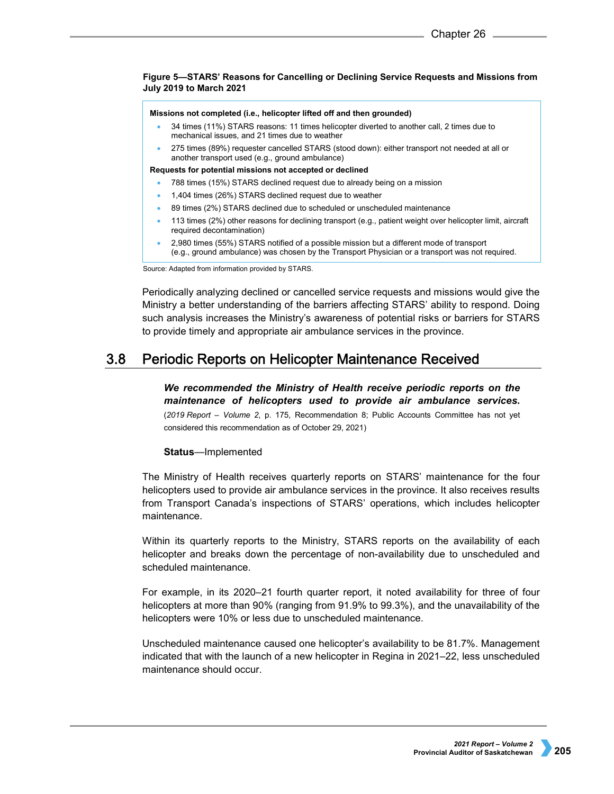## **Figure 5—STARS' Reasons for Cancelling or Declining Service Requests and Missions from July 2019 to March 2021**

#### **Missions not completed (i.e., helicopter lifted off and then grounded)**

- 34 times (11%) STARS reasons: 11 times helicopter diverted to another call, 2 times due to mechanical issues, and 21 times due to weather
- 275 times (89%) requester cancelled STARS (stood down): either transport not needed at all or another transport used (e.g., ground ambulance)

### **Requests for potential missions not accepted or declined**

- 788 times (15%) STARS declined request due to already being on a mission
- 1,404 times (26%) STARS declined request due to weather
- 89 times (2%) STARS declined due to scheduled or unscheduled maintenance
- 113 times (2%) other reasons for declining transport (e.g., patient weight over helicopter limit, aircraft required decontamination)
- 2,980 times (55%) STARS notified of a possible mission but a different mode of transport (e.g., ground ambulance) was chosen by the Transport Physician or a transport was not required.

Source: Adapted from information provided by STARS.

Periodically analyzing declined or cancelled service requests and missions would give the Ministry a better understanding of the barriers affecting STARS' ability to respond. Doing such analysis increases the Ministry's awareness of potential risks or barriers for STARS to provide timely and appropriate air ambulance services in the province.

#### $3.8$ **Periodic Reports on Helicopter Maintenance Received**

*We recommended the Ministry of Health receive periodic reports on the maintenance of helicopters used to provide air ambulance services***.** (*2019 Report – Volume 2*, p. 175, Recommendation 8; Public Accounts Committee has not yet considered this recommendation as of October 29, 2021)

## **Status**—Implemented

The Ministry of Health receives quarterly reports on STARS' maintenance for the four helicopters used to provide air ambulance services in the province. It also receives results from Transport Canada's inspections of STARS' operations, which includes helicopter maintenance.

Within its quarterly reports to the Ministry, STARS reports on the availability of each helicopter and breaks down the percentage of non-availability due to unscheduled and scheduled maintenance.

For example, in its 2020–21 fourth quarter report, it noted availability for three of four helicopters at more than 90% (ranging from 91.9% to 99.3%), and the unavailability of the helicopters were 10% or less due to unscheduled maintenance.

Unscheduled maintenance caused one helicopter's availability to be 81.7%. Management indicated that with the launch of a new helicopter in Regina in 2021–22, less unscheduled maintenance should occur.